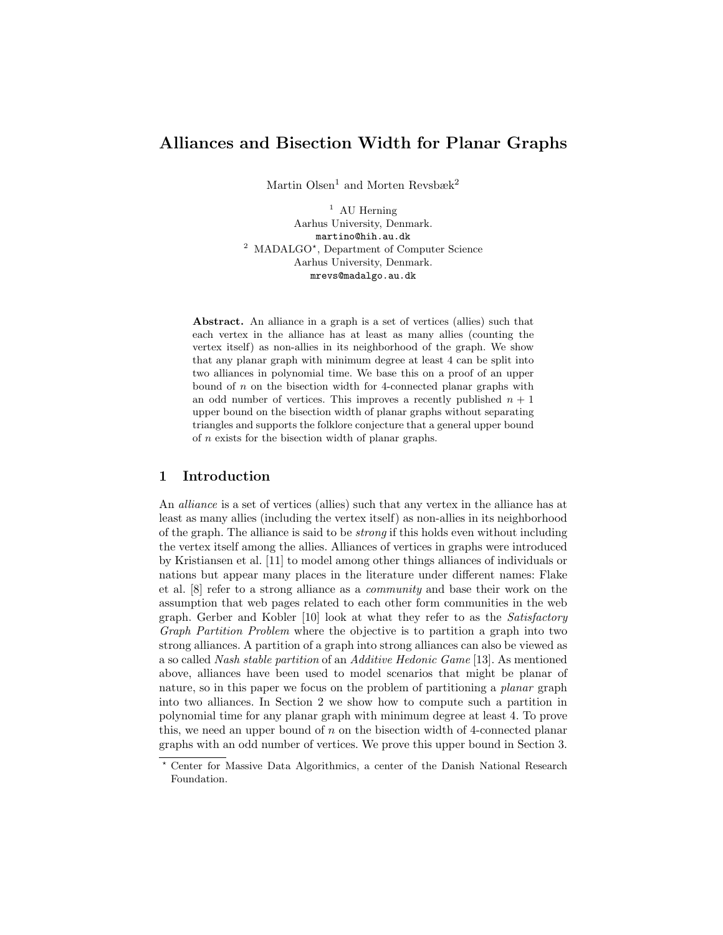# Alliances and Bisection Width for Planar Graphs

Martin Olsen<sup>1</sup> and Morten Revsbæk<sup>2</sup>

<sup>1</sup> AU Herning Aarhus University, Denmark. martino@hih.au.dk <sup>2</sup> MADALGO<sup>\*</sup>, Department of Computer Science Aarhus University, Denmark. mrevs@madalgo.au.dk

Abstract. An alliance in a graph is a set of vertices (allies) such that each vertex in the alliance has at least as many allies (counting the vertex itself) as non-allies in its neighborhood of the graph. We show that any planar graph with minimum degree at least 4 can be split into two alliances in polynomial time. We base this on a proof of an upper bound of  $n$  on the bisection width for 4-connected planar graphs with an odd number of vertices. This improves a recently published  $n + 1$ upper bound on the bisection width of planar graphs without separating triangles and supports the folklore conjecture that a general upper bound of n exists for the bisection width of planar graphs.

## 1 Introduction

An alliance is a set of vertices (allies) such that any vertex in the alliance has at least as many allies (including the vertex itself) as non-allies in its neighborhood of the graph. The alliance is said to be strong if this holds even without including the vertex itself among the allies. Alliances of vertices in graphs were introduced by Kristiansen et al. [11] to model among other things alliances of individuals or nations but appear many places in the literature under different names: Flake et al. [8] refer to a strong alliance as a community and base their work on the assumption that web pages related to each other form communities in the web graph. Gerber and Kobler [10] look at what they refer to as the Satisfactory Graph Partition Problem where the objective is to partition a graph into two strong alliances. A partition of a graph into strong alliances can also be viewed as a so called Nash stable partition of an Additive Hedonic Game [13]. As mentioned above, alliances have been used to model scenarios that might be planar of nature, so in this paper we focus on the problem of partitioning a planar graph into two alliances. In Section 2 we show how to compute such a partition in polynomial time for any planar graph with minimum degree at least 4. To prove this, we need an upper bound of  $n$  on the bisection width of 4-connected planar graphs with an odd number of vertices. We prove this upper bound in Section 3.

<sup>?</sup> Center for Massive Data Algorithmics, a center of the Danish National Research Foundation.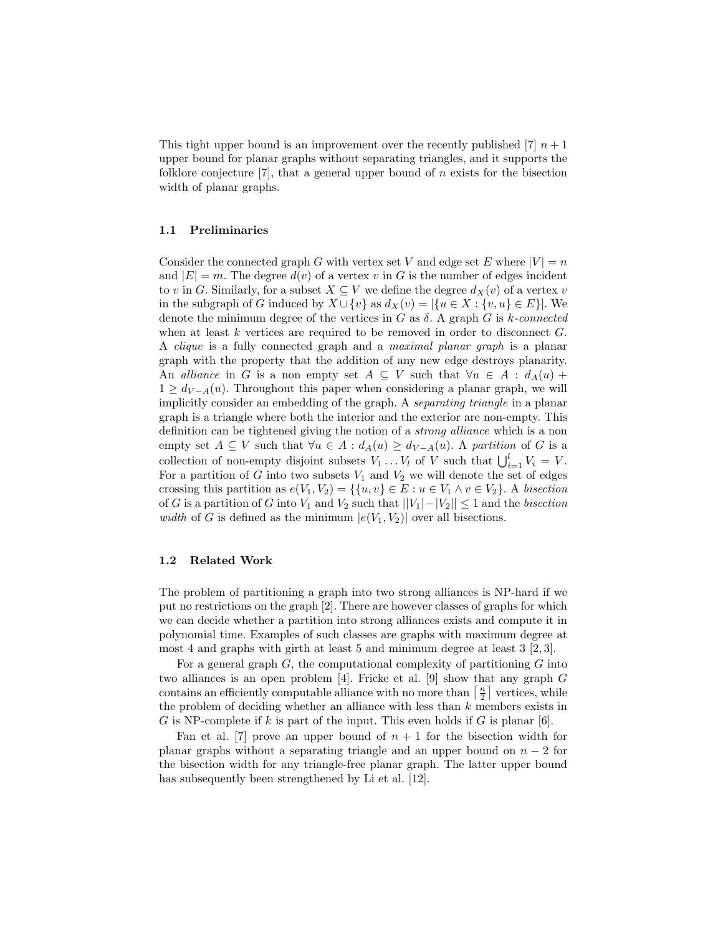This tight upper bound is an improvement over the recently published [7]  $n+1$ upper bound for planar graphs without separating triangles, and it supports the folklore conjecture  $[7]$ , that a general upper bound of n exists for the bisection width of planar graphs.

#### 1.1 Preliminaries

Consider the connected graph G with vertex set V and edge set E where  $|V| = n$ and  $|E| = m$ . The degree  $d(v)$  of a vertex v in G is the number of edges incident to v in G. Similarly, for a subset  $X \subseteq V$  we define the degree  $d_X(v)$  of a vertex v in the subgraph of G induced by  $X \cup \{v\}$  as  $d_X(v) = |\{u \in X : \{v, u\} \in E\}|$ . We denote the minimum degree of the vertices in  $G$  as  $\delta$ . A graph  $G$  is k-connected when at least  $k$  vertices are required to be removed in order to disconnect  $G$ . A clique is a fully connected graph and a maximal planar graph is a planar graph with the property that the addition of any new edge destroys planarity. An alliance in G is a non empty set  $A \subseteq V$  such that  $\forall u \in A : d_A(u)$  +  $1 \ge d_{V-A}(u)$ . Throughout this paper when considering a planar graph, we will implicitly consider an embedding of the graph. A separating triangle in a planar graph is a triangle where both the interior and the exterior are non-empty. This definition can be tightened giving the notion of a strong alliance which is a non empty set  $A \subseteq V$  such that  $\forall u \in A : d_A(u) \ge d_{V-A}(u)$ . A partition of G is a collection of non-empty disjoint subsets  $V_1 \dots V_l$  of V such that  $\bigcup_{i=1}^l V_i = V$ . For a partition of G into two subsets  $V_1$  and  $V_2$  we will denote the set of edges crossing this partition as  $e(V_1, V_2) = \{ \{u, v\} \in E : u \in V_1 \land v \in V_2 \}$ . A bisection of G is a partition of G into  $V_1$  and  $V_2$  such that  $||V_1|-|V_2|| \leq 1$  and the *bisection* width of G is defined as the minimum  $|e(V_1, V_2)|$  over all bisections.

#### 1.2 Related Work

The problem of partitioning a graph into two strong alliances is NP-hard if we put no restrictions on the graph [2]. There are however classes of graphs for which we can decide whether a partition into strong alliances exists and compute it in polynomial time. Examples of such classes are graphs with maximum degree at most 4 and graphs with girth at least 5 and minimum degree at least 3 [2, 3].

For a general graph  $G$ , the computational complexity of partitioning  $G$  into two alliances is an open problem [4]. Fricke et al. [9] show that any graph  $G$ contains an efficiently computable alliance with no more than  $\lceil \frac{n}{2} \rceil$  vertices, while the problem of deciding whether an alliance with less than  $k$  members exists in G is NP-complete if k is part of the input. This even holds if G is planar [6].

Fan et al. [7] prove an upper bound of  $n + 1$  for the bisection width for planar graphs without a separating triangle and an upper bound on  $n-2$  for the bisection width for any triangle-free planar graph. The latter upper bound has subsequently been strengthened by Li et al. [12].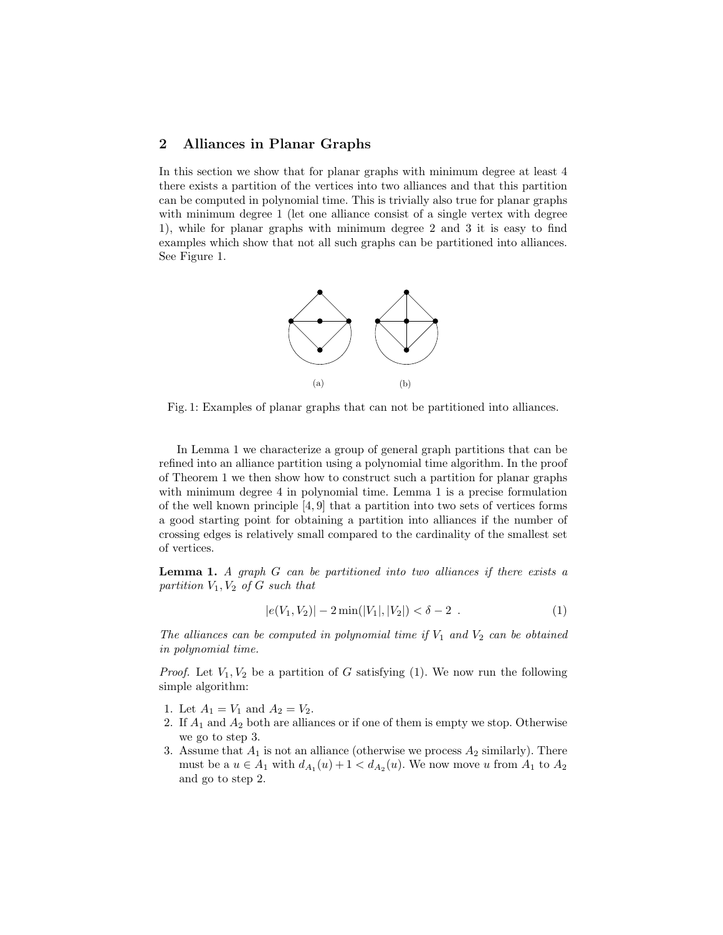## 2 Alliances in Planar Graphs

In this section we show that for planar graphs with minimum degree at least 4 there exists a partition of the vertices into two alliances and that this partition can be computed in polynomial time. This is trivially also true for planar graphs with minimum degree 1 (let one alliance consist of a single vertex with degree 1), while for planar graphs with minimum degree 2 and 3 it is easy to find examples which show that not all such graphs can be partitioned into alliances. See Figure 1.



Fig. 1: Examples of planar graphs that can not be partitioned into alliances.

In Lemma 1 we characterize a group of general graph partitions that can be refined into an alliance partition using a polynomial time algorithm. In the proof of Theorem 1 we then show how to construct such a partition for planar graphs with minimum degree 4 in polynomial time. Lemma 1 is a precise formulation of the well known principle [4, 9] that a partition into two sets of vertices forms a good starting point for obtaining a partition into alliances if the number of crossing edges is relatively small compared to the cardinality of the smallest set of vertices.

**Lemma 1.** A graph  $G$  can be partitioned into two alliances if there exists a partition  $V_1, V_2$  of G such that

$$
|e(V_1, V_2)| - 2\min(|V_1|, |V_2|) < \delta - 2.
$$
 (1)

The alliances can be computed in polynomial time if  $V_1$  and  $V_2$  can be obtained in polynomial time.

*Proof.* Let  $V_1, V_2$  be a partition of G satisfying (1). We now run the following simple algorithm:

- 1. Let  $A_1 = V_1$  and  $A_2 = V_2$ .
- 2. If  $A_1$  and  $A_2$  both are alliances or if one of them is empty we stop. Otherwise we go to step 3.
- 3. Assume that  $A_1$  is not an alliance (otherwise we process  $A_2$  similarly). There must be a  $u \in A_1$  with  $d_{A_1}(u) + 1 < d_{A_2}(u)$ . We now move u from  $A_1$  to  $A_2$ and go to step 2.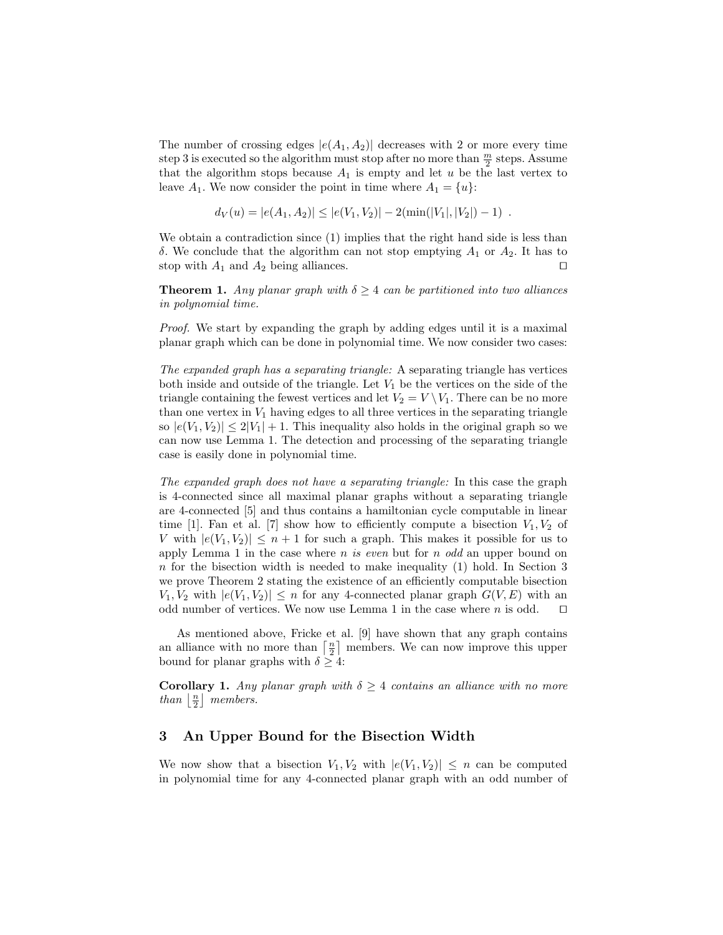The number of crossing edges  $|e(A_1, A_2)|$  decreases with 2 or more every time step 3 is executed so the algorithm must stop after no more than  $\frac{m}{2}$  steps. Assume that the algorithm stops because  $A_1$  is empty and let u be the last vertex to leave  $A_1$ . We now consider the point in time where  $A_1 = \{u\}$ :

$$
d_V(u) = |e(A_1, A_2)| \le |e(V_1, V_2)| - 2(\min(|V_1|, |V_2|) - 1).
$$

We obtain a contradiction since  $(1)$  implies that the right hand side is less than δ. We conclude that the algorithm can not stop emptying  $A_1$  or  $A_2$ . It has to stop with  $A_1$  and  $A_2$  being alliances.

**Theorem 1.** Any planar graph with  $\delta \geq 4$  can be partitioned into two alliances in polynomial time.

Proof. We start by expanding the graph by adding edges until it is a maximal planar graph which can be done in polynomial time. We now consider two cases:

The expanded graph has a separating triangle: A separating triangle has vertices both inside and outside of the triangle. Let  $V_1$  be the vertices on the side of the triangle containing the fewest vertices and let  $V_2 = V \setminus V_1$ . There can be no more than one vertex in  $V_1$  having edges to all three vertices in the separating triangle so  $|e(V_1, V_2)| \leq 2|V_1| + 1$ . This inequality also holds in the original graph so we can now use Lemma 1. The detection and processing of the separating triangle case is easily done in polynomial time.

The expanded graph does not have a separating triangle: In this case the graph is 4-connected since all maximal planar graphs without a separating triangle are 4-connected [5] and thus contains a hamiltonian cycle computable in linear time [1]. Fan et al. [7] show how to efficiently compute a bisection  $V_1, V_2$  of V with  $|e(V_1, V_2)| \leq n+1$  for such a graph. This makes it possible for us to apply Lemma 1 in the case where n is even but for  $n$  odd an upper bound on  $n$  for the bisection width is needed to make inequality (1) hold. In Section 3 we prove Theorem 2 stating the existence of an efficiently computable bisection  $V_1, V_2$  with  $|e(V_1, V_2)| \leq n$  for any 4-connected planar graph  $G(V, E)$  with an odd number of vertices. We now use Lemma 1 in the case where *n* is odd.  $\square$ odd number of vertices. We now use Lemma 1 in the case where  $n$  is odd.

As mentioned above, Fricke et al. [9] have shown that any graph contains an alliance with no more than  $\lceil \frac{n}{2} \rceil$  members. We can now improve this upper bound for planar graphs with  $\delta \geq 4$ :

**Corollary 1.** Any planar graph with  $\delta \geq 4$  contains an alliance with no more than  $\lfloor \frac{n}{2} \rfloor$  members.

## 3 An Upper Bound for the Bisection Width

We now show that a bisection  $V_1, V_2$  with  $|e(V_1, V_2)| \leq n$  can be computed in polynomial time for any 4-connected planar graph with an odd number of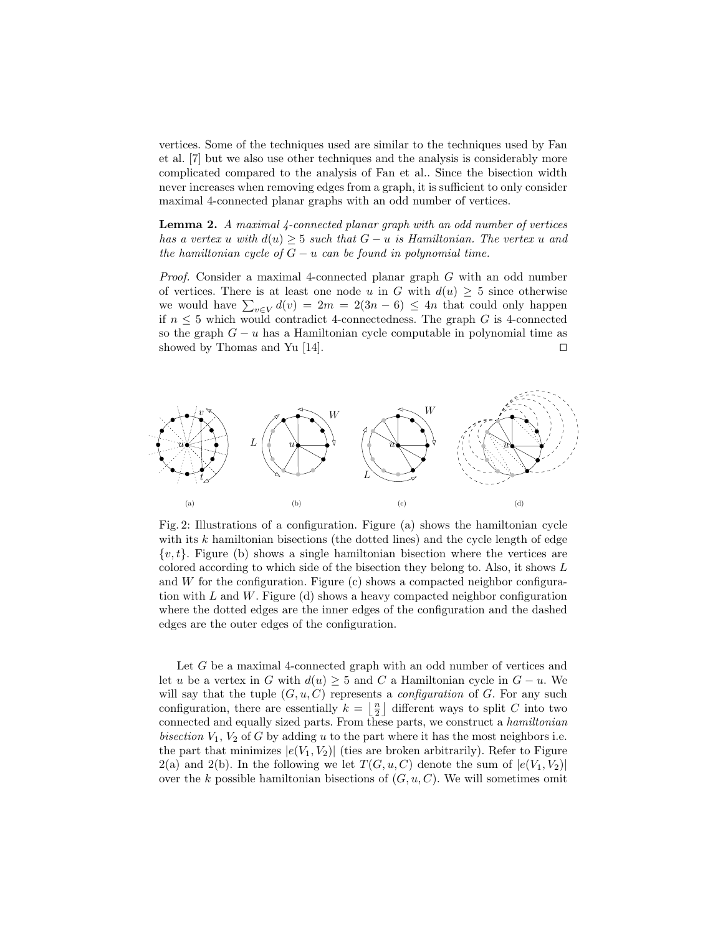vertices. Some of the techniques used are similar to the techniques used by Fan et al. [7] but we also use other techniques and the analysis is considerably more complicated compared to the analysis of Fan et al.. Since the bisection width never increases when removing edges from a graph, it is sufficient to only consider maximal 4-connected planar graphs with an odd number of vertices.

Lemma 2. A maximal 4-connected planar graph with an odd number of vertices has a vertex u with  $d(u) \geq 5$  such that  $G - u$  is Hamiltonian. The vertex u and the hamiltonian cycle of  $G - u$  can be found in polynomial time.

Proof. Consider a maximal 4-connected planar graph G with an odd number of vertices. There is at least one node u in G with  $d(u) \geq 5$  since otherwise we would have  $\sum_{v \in V} d(v) = 2m = 2(3n - 6) \le 4n$  that could only happen if  $n \leq 5$  which would contradict 4-connectedness. The graph G is 4-connected so the graph  $G - u$  has a Hamiltonian cycle computable in polynomial time as showed by Thomas and Yu [14]. showed by Thomas and Yu  $[14]$ .



Fig. 2: Illustrations of a configuration. Figure (a) shows the hamiltonian cycle with its  $k$  hamiltonian bisections (the dotted lines) and the cycle length of edge  $\{v, t\}$ . Figure (b) shows a single hamiltonian bisection where the vertices are colored according to which side of the bisection they belong to. Also, it shows L and  $W$  for the configuration. Figure (c) shows a compacted neighbor configuration with  $L$  and  $W$ . Figure (d) shows a heavy compacted neighbor configuration where the dotted edges are the inner edges of the configuration and the dashed edges are the outer edges of the configuration.

Let G be a maximal 4-connected graph with an odd number of vertices and let u be a vertex in G with  $d(u) \geq 5$  and C a Hamiltonian cycle in  $G - u$ . We will say that the tuple  $(G, u, C)$  represents a *configuration* of G. For any such configuration, there are essentially  $k = \lfloor \frac{n}{2} \rfloor$  different ways to split C into two connected and equally sized parts. From these parts, we construct a hamiltonian bisection  $V_1$ ,  $V_2$  of G by adding u to the part where it has the most neighbors i.e. the part that minimizes  $|e(V_1, V_2)|$  (ties are broken arbitrarily). Refer to Figure  $2(a)$  and  $2(b)$ . In the following we let  $T(G, u, C)$  denote the sum of  $|e(V_1, V_2)|$ over the k possible hamiltonian bisections of  $(G, u, C)$ . We will sometimes omit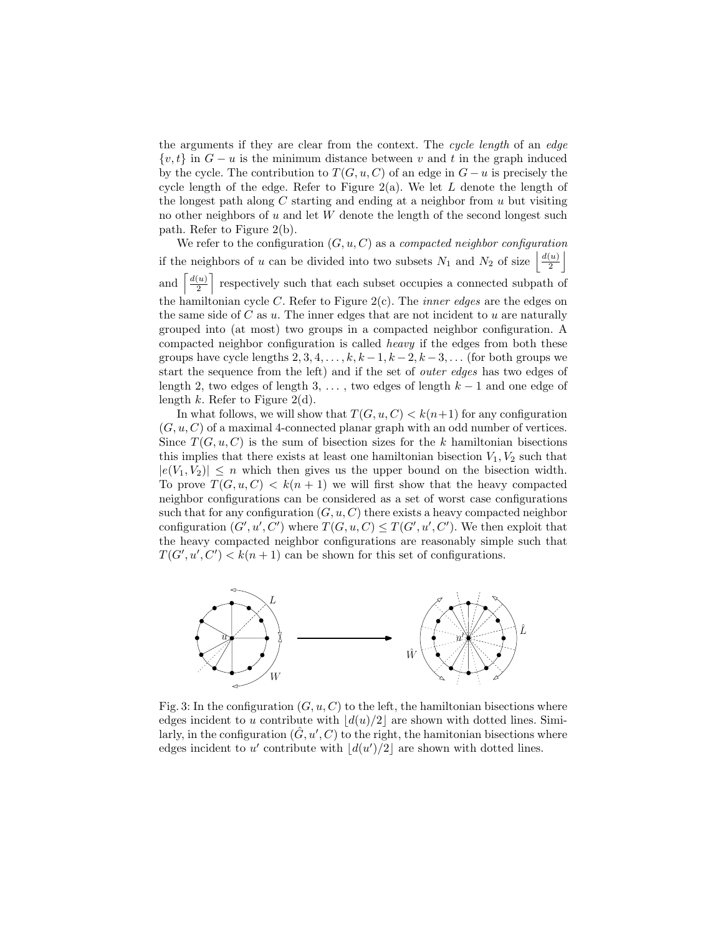the arguments if they are clear from the context. The cycle length of an edge  $\{v, t\}$  in  $G - u$  is the minimum distance between v and t in the graph induced by the cycle. The contribution to  $T(G, u, C)$  of an edge in  $G - u$  is precisely the cycle length of the edge. Refer to Figure  $2(a)$ . We let L denote the length of the longest path along  $C$  starting and ending at a neighbor from  $u$  but visiting no other neighbors of  $u$  and let  $W$  denote the length of the second longest such path. Refer to Figure 2(b).

We refer to the configuration  $(G, u, C)$  as a *compacted neighbor configuration* if the neighbors of u can be divided into two subsets  $N_1$  and  $N_2$  of size  $\frac{d(u)}{2}$  $\left(\frac{u}{2}\right)$ and  $d(u)$  $\left\lfloor \frac{u}{2} \right\rfloor$  respectively such that each subset occupies a connected subpath of the hamiltonian cycle C. Refer to Figure  $2(c)$ . The *inner edges* are the edges on the same side of  $C$  as  $u$ . The inner edges that are not incident to  $u$  are naturally grouped into (at most) two groups in a compacted neighbor configuration. A compacted neighbor configuration is called heavy if the edges from both these groups have cycle lengths  $2, 3, 4, \ldots, k, k-1, k-2, k-3, \ldots$  (for both groups we start the sequence from the left) and if the set of outer edges has two edges of length 2, two edges of length 3, ..., two edges of length  $k-1$  and one edge of length  $k$ . Refer to Figure 2(d).

In what follows, we will show that  $T(G, u, C) < k(n+1)$  for any configuration  $(G, u, C)$  of a maximal 4-connected planar graph with an odd number of vertices. Since  $T(G, u, C)$  is the sum of bisection sizes for the k hamiltonian bisections this implies that there exists at least one hamiltonian bisection  $V_1, V_2$  such that  $|e(V_1, V_2)| \leq n$  which then gives us the upper bound on the bisection width. To prove  $T(G, u, C) < k(n + 1)$  we will first show that the heavy compacted neighbor configurations can be considered as a set of worst case configurations such that for any configuration  $(G, u, C)$  there exists a heavy compacted neighbor configuration  $(G', u', C')$  where  $T(G, u, C) \leq T(G', u', C')$ . We then exploit that the heavy compacted neighbor configurations are reasonably simple such that  $T(G', u', C') < k(n+1)$  can be shown for this set of configurations.



Fig. 3: In the configuration  $(G, u, C)$  to the left, the hamiltonian bisections where edges incident to u contribute with  $|d(u)/2|$  are shown with dotted lines. Similarly, in the configuration  $(\hat{G}, u', C)$  to the right, the hamitonian bisections where edges incident to  $u'$  contribute with  $\lfloor d(u')/2 \rfloor$  are shown with dotted lines.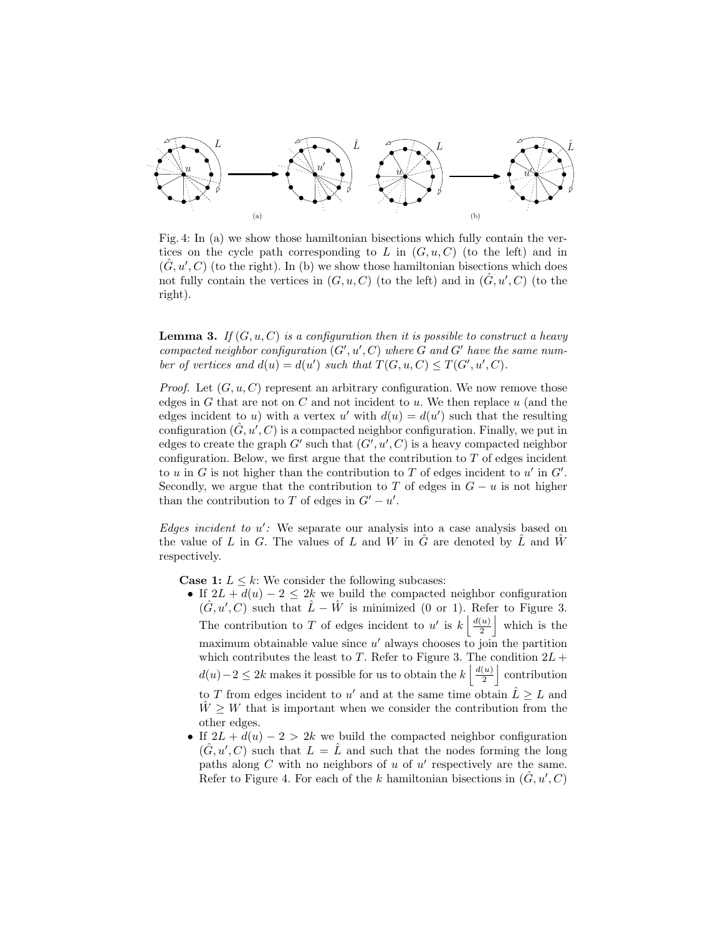

Fig. 4: In (a) we show those hamiltonian bisections which fully contain the vertices on the cycle path corresponding to L in  $(G, u, C)$  (to the left) and in  $(\hat{G}, u', C)$  (to the right). In (b) we show those hamiltonian bisections which does not fully contain the vertices in  $(G, u, C)$  (to the left) and in  $(\hat{G}, u', C)$  (to the right).

**Lemma 3.** If  $(G, u, C)$  is a configuration then it is possible to construct a heavy compacted neighbor configuration  $(G', u', C)$  where G and G' have the same number of vertices and  $d(u) = d(u')$  such that  $T(G, u, C) \le T(G', u', C)$ .

*Proof.* Let  $(G, u, C)$  represent an arbitrary configuration. We now remove those edges in G that are not on C and not incident to u. We then replace  $u$  (and the edges incident to u) with a vertex u' with  $d(u) = d(u')$  such that the resulting configuration  $(\hat{G}, u', C)$  is a compacted neighbor configuration. Finally, we put in edges to create the graph  $G'$  such that  $(G', u', C)$  is a heavy compacted neighbor configuration. Below, we first argue that the contribution to  $T$  of edges incident to u in G is not higher than the contribution to T of edges incident to u' in  $G'$ . Secondly, we argue that the contribution to T of edges in  $G - u$  is not higher than the contribution to T of edges in  $G' - u'$ .

Edges incident to  $u'$ : We separate our analysis into a case analysis based on the value of L in G. The values of L and W in  $\hat{G}$  are denoted by  $\hat{L}$  and  $\hat{W}$ respectively.

**Case 1:**  $L \leq k$ : We consider the following subcases:

• If  $2L + d(u) - 2 \leq 2k$  we build the compacted neighbor configuration  $(\hat{G}, u', C)$  such that  $\hat{L} - \hat{W}$  is minimized (0 or 1). Refer to Figure 3. The contribution to T of edges incident to u' is  $k \left| \frac{d(u)}{2} \right|$  $\left(\frac{u}{2}\right)$ which is the maximum obtainable value since  $u'$  always chooses to join the partition which contributes the least to T. Refer to Figure 3. The condition  $2L +$  $d(u)-2 \leq 2k$  makes it possible for us to obtain the  $k \left\lfloor \frac{d(u)}{2} \right\rfloor$  $\left(\frac{u}{2}\right)$  contribution to T from edges incident to u' and at the same time obtain  $\hat{L} \geq L$  and

 $W \geq W$  that is important when we consider the contribution from the other edges.

• If  $2L + d(u) - 2 > 2k$  we build the compacted neighbor configuration  $(\hat{G}, u', C)$  such that  $L = \hat{L}$  and such that the nodes forming the long paths along  $C$  with no neighbors of  $u$  of  $u'$  respectively are the same. Refer to Figure 4. For each of the k hamiltonian bisections in  $(\hat{G}, u', C)$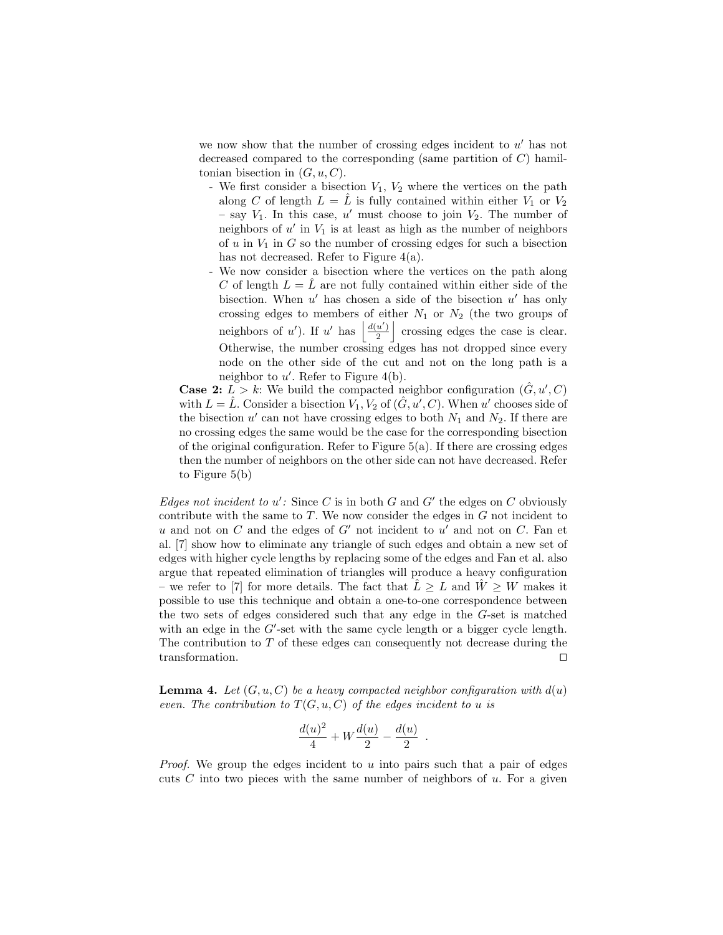we now show that the number of crossing edges incident to  $u'$  has not decreased compared to the corresponding (same partition of  $C$ ) hamiltonian bisection in  $(G, u, C)$ .

- We first consider a bisection  $V_1$ ,  $V_2$  where the vertices on the path along C of length  $L = \hat{L}$  is fully contained within either  $V_1$  or  $V_2$ - say  $V_1$ . In this case, u' must choose to join  $V_2$ . The number of neighbors of  $u'$  in  $V_1$  is at least as high as the number of neighbors of  $u$  in  $V_1$  in  $G$  so the number of crossing edges for such a bisection has not decreased. Refer to Figure 4(a).
- We now consider a bisection where the vertices on the path along C of length  $L = L$  are not fully contained within either side of the bisection. When  $u'$  has chosen a side of the bisection  $u'$  has only crossing edges to members of either  $N_1$  or  $N_2$  (the two groups of neighbors of u'). If u' has  $\frac{d(u')}{2}$  $\frac{u'}{2}$  crossing edges the case is clear. Otherwise, the number crossing edges has not dropped since every node on the other side of the cut and not on the long path is a neighbor to  $u'$ . Refer to Figure 4(b).

**Case 2:**  $L > k$ : We build the compacted neighbor configuration  $(\hat{G}, u', C)$ with  $L = \hat{L}$ . Consider a bisection  $V_1, V_2$  of  $(\hat{G}, u', C)$ . When u' chooses side of the bisection  $u'$  can not have crossing edges to both  $N_1$  and  $N_2$ . If there are no crossing edges the same would be the case for the corresponding bisection of the original configuration. Refer to Figure  $5(a)$ . If there are crossing edges then the number of neighbors on the other side can not have decreased. Refer to Figure 5(b)

Edges not incident to  $u'$ : Since C is in both G and G' the edges on C obviously contribute with the same to  $T$ . We now consider the edges in  $G$  not incident to  $u$  and not on  $C$  and the edges of  $G'$  not incident to  $u'$  and not on  $C$ . Fan et al. [7] show how to eliminate any triangle of such edges and obtain a new set of edges with higher cycle lengths by replacing some of the edges and Fan et al. also argue that repeated elimination of triangles will produce a heavy configuration – we refer to [7] for more details. The fact that  $L \geq L$  and  $\tilde{W} \geq W$  makes it possible to use this technique and obtain a one-to-one correspondence between the two sets of edges considered such that any edge in the G-set is matched with an edge in the  $G'$ -set with the same cycle length or a bigger cycle length. The contribution to  $T$  of these edges can consequently not decrease during the transformation.  $\square$ 

**Lemma 4.** Let  $(G, u, C)$  be a heavy compacted neighbor configuration with  $d(u)$ even. The contribution to  $T(G, u, C)$  of the edges incident to u is

$$
\frac{d(u)^2}{4} + W\frac{d(u)}{2} - \frac{d(u)}{2}
$$

.

*Proof.* We group the edges incident to  $u$  into pairs such that a pair of edges cuts  $C$  into two pieces with the same number of neighbors of  $u$ . For a given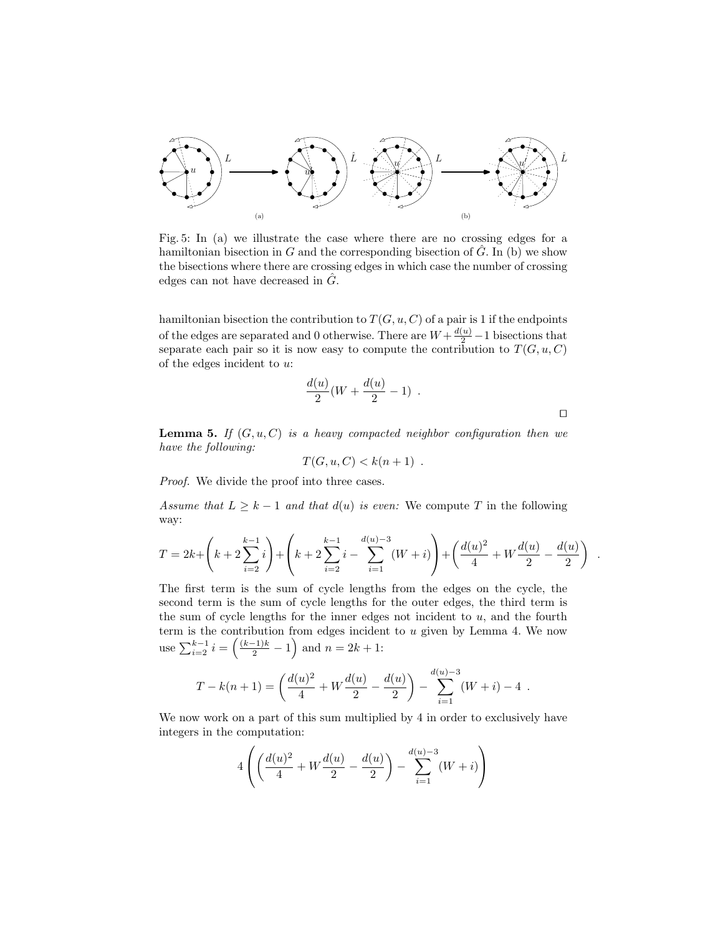

Fig. 5: In (a) we illustrate the case where there are no crossing edges for a hamiltonian bisection in G and the corresponding bisection of  $\tilde{G}$ . In (b) we show the bisections where there are crossing edges in which case the number of crossing edges can not have decreased in  $\tilde{G}$ .

hamiltonian bisection the contribution to  $T(G, u, C)$  of a pair is 1 if the endpoints of the edges are separated and 0 otherwise. There are  $W + \frac{d(u)}{2} - 1$  bisections that separate each pair so it is now easy to compute the contribution to  $T(G, u, C)$ of the edges incident to  $u$ :

$$
\frac{d(u)}{2}(W + \frac{d(u)}{2} - 1) .
$$

.

**Lemma 5.** If  $(G, u, C)$  is a heavy compacted neighbor configuration then we have the following:

$$
T(G, u, C) < k(n+1) \enspace .
$$

Proof. We divide the proof into three cases.

Assume that  $L \geq k - 1$  and that  $d(u)$  is even: We compute T in the following way:

$$
T = 2k + \left(k + 2\sum_{i=2}^{k-1} i\right) + \left(k + 2\sum_{i=2}^{k-1} i - \sum_{i=1}^{d(u)-3} (W+i)\right) + \left(\frac{d(u)^2}{4} + W\frac{d(u)}{2} - \frac{d(u)}{2}\right)
$$

The first term is the sum of cycle lengths from the edges on the cycle, the second term is the sum of cycle lengths for the outer edges, the third term is the sum of cycle lengths for the inner edges not incident to  $u$ , and the fourth term is the contribution from edges incident to  $u$  given by Lemma 4. We now use  $\sum_{i=2}^{k-1} i = \left(\frac{(k-1)k}{2} - 1\right)$  and  $n = 2k + 1$ :

$$
T - k(n+1) = \left(\frac{d(u)^2}{4} + W\frac{d(u)}{2} - \frac{d(u)}{2}\right) - \sum_{i=1}^{d(u)-3} (W+i) - 4.
$$

We now work on a part of this sum multiplied by 4 in order to exclusively have integers in the computation:

$$
4\left(\left(\frac{d(u)^2}{4} + W\frac{d(u)}{2} - \frac{d(u)}{2}\right) - \sum_{i=1}^{d(u)-3} (W+i)\right)
$$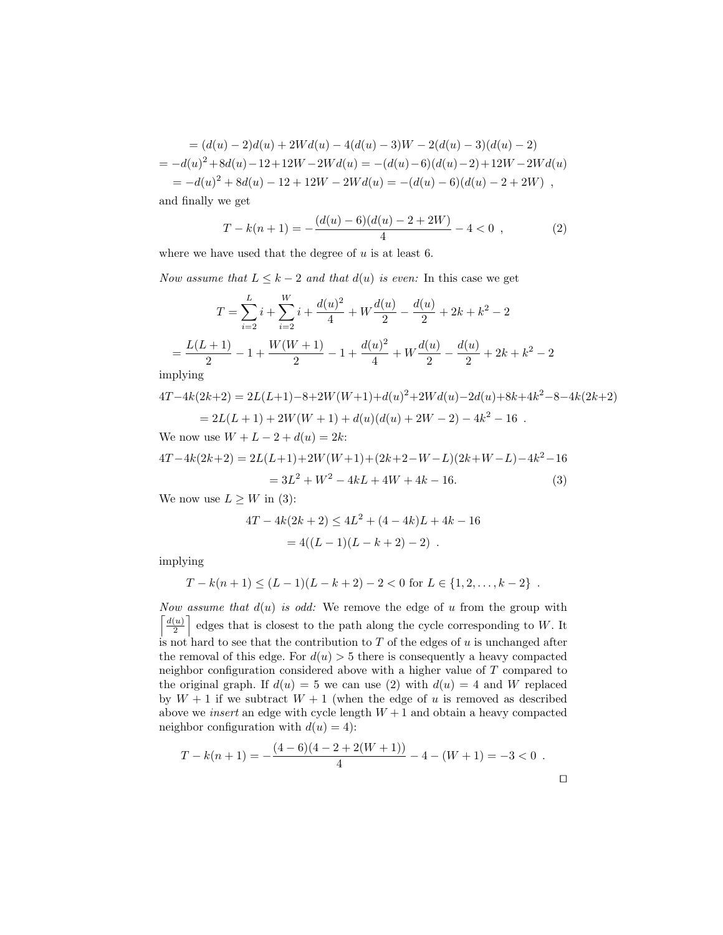$$
= (d(u) - 2)d(u) + 2Wd(u) - 4(d(u) - 3)W - 2(d(u) - 3)(d(u) - 2)
$$
  
= 
$$
-d(u)^2 + 8d(u) - 12 + 12W - 2Wd(u) = -(d(u) - 6)(d(u) - 2) + 12W - 2Wd(u)
$$
  
= 
$$
-d(u)^2 + 8d(u) - 12 + 12W - 2Wd(u) = -(d(u) - 6)(d(u) - 2 + 2W),
$$

and finally we get

$$
T - k(n+1) = -\frac{(d(u) - 6)(d(u) - 2 + 2W)}{4} - 4 < 0 \tag{2}
$$

where we have used that the degree of  $u$  is at least 6.

Now assume that  $L \leq k-2$  and that  $d(u)$  is even: In this case we get

$$
T = \sum_{i=2}^{L} i + \sum_{i=2}^{W} i + \frac{d(u)^2}{4} + W \frac{d(u)}{2} - \frac{d(u)}{2} + 2k + k^2 - 2
$$
  
= 
$$
\frac{L(L+1)}{2} - 1 + \frac{W(W+1)}{2} - 1 + \frac{d(u)^2}{4} + W \frac{d(u)}{2} - \frac{d(u)}{2} + 2k + k^2 - 2
$$

implying

$$
4T-4k(2k+2) = 2L(L+1)-8+2W(W+1)+d(u)^{2}+2Wd(u)-2d(u)+8k+4k^{2}-8-4k(2k+2)
$$
  
= 2L(L+1) + 2W(W+1) + d(u)(d(u) + 2W - 2) - 4k^{2} - 16.

We now use  $W + L - 2 + d(u) = 2k$ :

$$
4T - 4k(2k+2) = 2L(L+1) + 2W(W+1) + (2k+2-W-L)(2k+W-L) - 4k^2 - 16
$$
  
= 
$$
3L^2 + W^2 - 4kL + 4W + 4k - 16.
$$
 (3)

We now use  $L \geq W$  in (3):

$$
4T - 4k(2k + 2) \le 4L^2 + (4 - 4k)L + 4k - 16
$$
  
= 4((L - 1)(L - k + 2) - 2).

implying

$$
T - k(n+1) \le (L-1)(L-k+2) - 2 < 0
$$
 for  $L \in \{1, 2, ..., k-2\}$ .

Now assume that  $d(u)$  is odd: We remove the edge of u from the group with  $\int d(u)$  $\left[\frac{u}{2}\right]$  edges that is closest to the path along the cycle corresponding to W. It is not hard to see that the contribution to  $T$  of the edges of  $u$  is unchanged after the removal of this edge. For  $d(u) > 5$  there is consequently a heavy compacted neighbor configuration considered above with a higher value of T compared to the original graph. If  $d(u) = 5$  we can use (2) with  $d(u) = 4$  and W replaced by  $W + 1$  if we subtract  $W + 1$  (when the edge of u is removed as described above we *insert* an edge with cycle length  $W + 1$  and obtain a heavy compacted neighbor configuration with  $d(u) = 4$ :

$$
T - k(n+1) = -\frac{(4-6)(4-2+2(W+1))}{4} - 4 - (W+1) = -3 < 0.
$$